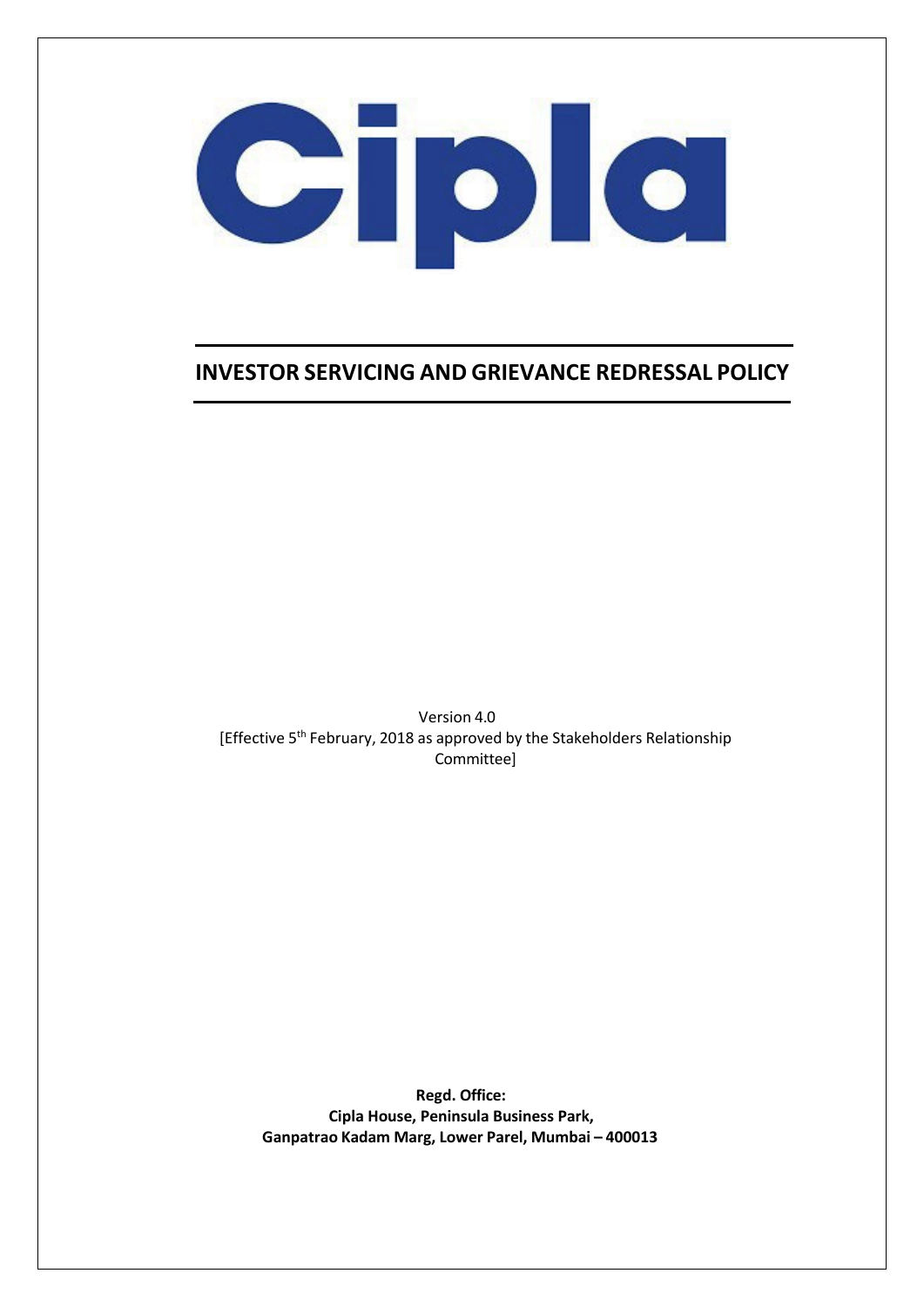

### **INVESTOR SERVICING AND GRIEVANCE REDRESSAL POLICY**

Version 4.0 [Effective 5<sup>th</sup> February, 2018 as approved by the Stakeholders Relationship Committee]

**Regd. Office: Cipla House, Peninsula Business Park, Ganpatrao Kadam Marg, Lower Parel, Mumbai – 400013**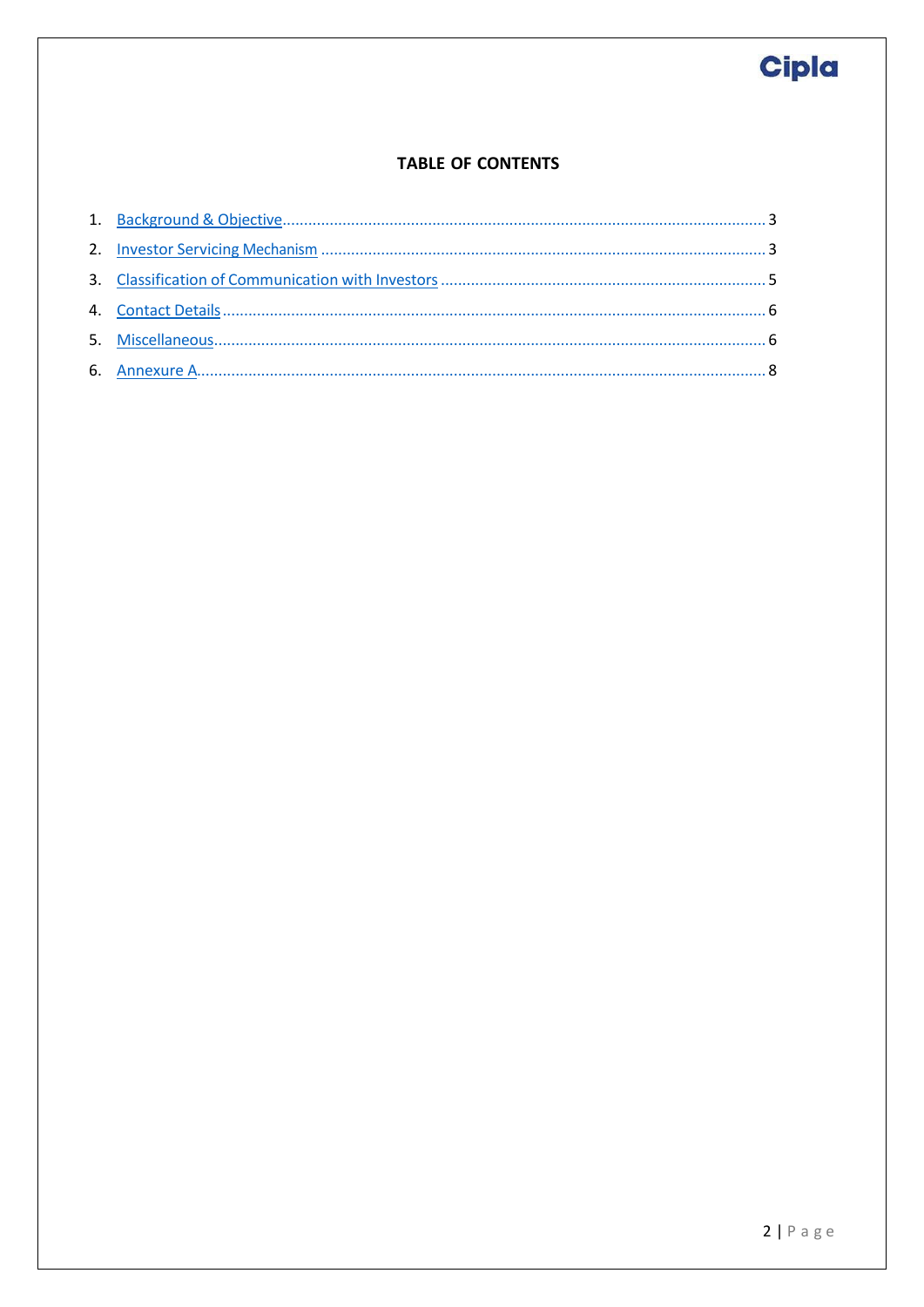### **TABLE OF CONTENTS**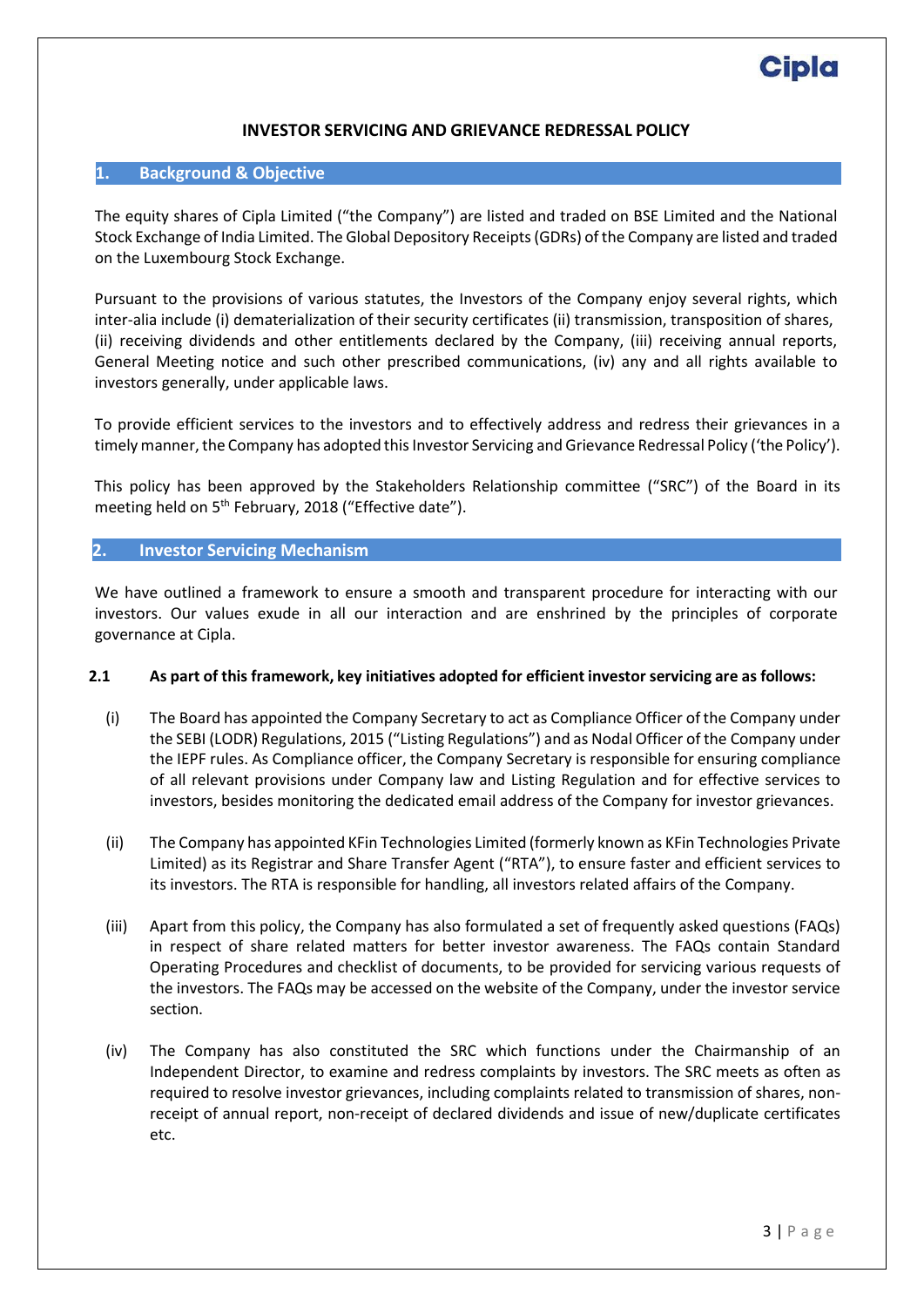#### **INVESTOR SERVICING AND GRIEVANCE REDRESSAL POLICY**

#### <span id="page-2-0"></span>**1. Background & Objective**

The equity shares of Cipla Limited ("the Company") are listed and traded on BSE Limited and the National Stock Exchange of India Limited. The Global Depository Receipts (GDRs) of the Company are listed and traded on the Luxembourg Stock Exchange.

Pursuant to the provisions of various statutes, the Investors of the Company enjoy several rights, which inter-alia include (i) dematerialization of their security certificates (ii) transmission, transposition of shares, (ii) receiving dividends and other entitlements declared by the Company, (iii) receiving annual reports, General Meeting notice and such other prescribed communications, (iv) any and all rights available to investors generally, under applicable laws.

To provide efficient services to the investors and to effectively address and redress their grievances in a timely manner, the Company has adopted this Investor Servicing and Grievance Redressal Policy ('the Policy').

This policy has been approved by the Stakeholders Relationship committee ("SRC") of the Board in its meeting held on 5<sup>th</sup> February, 2018 ("Effective date").

#### <span id="page-2-1"></span>**2. Investor Servicing Mechanism**

We have outlined a framework to ensure a smooth and transparent procedure for interacting with our investors. Our values exude in all our interaction and are enshrined by the principles of corporate governance at Cipla.

#### **2.1 As part of this framework, key initiatives adopted for efficient investor servicing are as follows:**

- (i) The Board has appointed the Company Secretary to act as Compliance Officer of the Company under the SEBI (LODR) Regulations, 2015 ("Listing Regulations") and as Nodal Officer of the Company under the IEPF rules. As Compliance officer, the Company Secretary is responsible for ensuring compliance of all relevant provisions under Company law and Listing Regulation and for effective services to investors, besides monitoring the dedicated email address of the Company for investor grievances.
- (ii) The Company has appointed KFin Technologies Limited (formerly known as KFin Technologies Private Limited) as its Registrar and Share Transfer Agent ("RTA"), to ensure faster and efficient services to its investors. The RTA is responsible for handling, all investors related affairs of the Company.
- (iii) Apart from this policy, the Company has also formulated a set of frequently asked questions (FAQs) in respect of share related matters for better investor awareness. The FAQs contain Standard Operating Procedures and checklist of documents, to be provided for servicing various requests of the investors. The FAQs may be accessed on the website of the Company, under the investor service section.
- (iv) The Company has also constituted the SRC which functions under the Chairmanship of an Independent Director, to examine and redress complaints by investors. The SRC meets as often as required to resolve investor grievances, including complaints related to transmission of shares, nonreceipt of annual report, non-receipt of declared dividends and issue of new/duplicate certificates etc.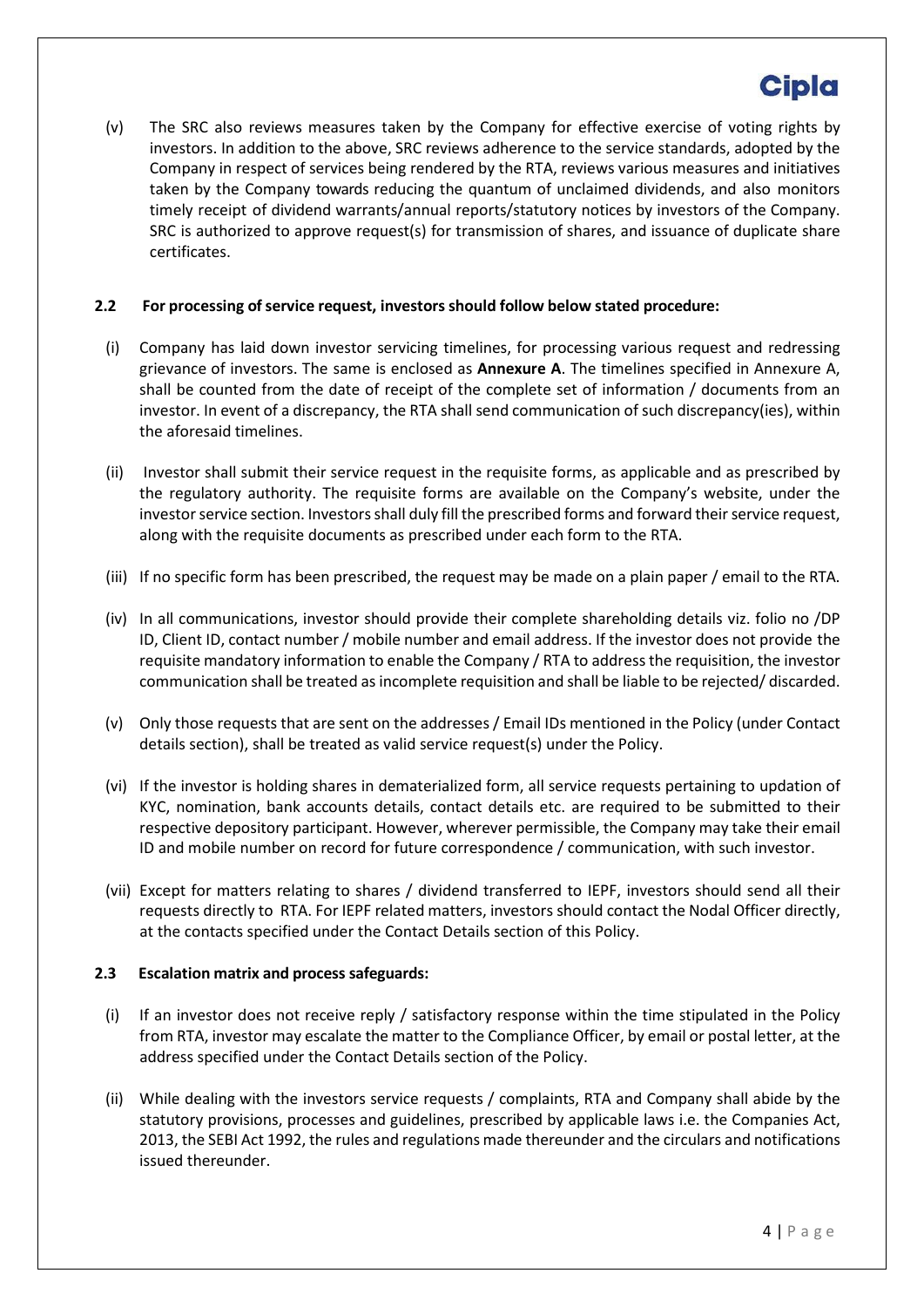(v) The SRC also reviews measures taken by the Company for effective exercise of voting rights by investors. In addition to the above, SRC reviews adherence to the service standards, adopted by the Company in respect of services being rendered by the RTA, reviews various measures and initiatives taken by the Company towards reducing the quantum of unclaimed dividends, and also monitors timely receipt of dividend warrants/annual reports/statutory notices by investors of the Company. SRC is authorized to approve request(s) for transmission of shares, and issuance of duplicate share certificates.

#### **2.2 For processing ofservice request, investorsshould follow below stated procedure:**

- (i) Company has laid down investor servicing timelines, for processing various request and redressing grievance of investors. The same is enclosed as **Annexure A**. The timelines specified in Annexure A, shall be counted from the date of receipt of the complete set of information / documents from an investor. In event of a discrepancy, the RTA shall send communication of such discrepancy(ies), within the aforesaid timelines.
- (ii) Investor shall submit their service request in the requisite forms, as applicable and as prescribed by the regulatory authority. The requisite forms are available on the Company's website, under the investor service section. Investors shall duly fill the prescribed forms and forward their service request, along with the requisite documents as prescribed under each form to the RTA.
- (iii) If no specific form has been prescribed, the request may be made on a plain paper / email to the RTA.
- (iv) In all communications, investor should provide their complete shareholding details viz. folio no /DP ID, Client ID, contact number / mobile number and email address. If the investor does not provide the requisite mandatory information to enable the Company / RTA to address the requisition, the investor communication shall be treated as incomplete requisition and shall be liable to be rejected/ discarded.
- (v) Only those requests that are sent on the addresses / Email IDs mentioned in the Policy (under Contact details section), shall be treated as valid service request(s) under the Policy.
- (vi) If the investor is holding shares in dematerialized form, all service requests pertaining to updation of KYC, nomination, bank accounts details, contact details etc. are required to be submitted to their respective depository participant. However, wherever permissible, the Company may take their email ID and mobile number on record for future correspondence / communication, with such investor.
- (vii) Except for matters relating to shares / dividend transferred to IEPF, investors should send all their requests directly to RTA. For IEPF related matters, investors should contact the Nodal Officer directly, at the contacts specified under the Contact Details section of this Policy.

#### **2.3 Escalation matrix and process safeguards:**

- (i) If an investor does not receive reply / satisfactory response within the time stipulated in the Policy from RTA, investor may escalate the matter to the Compliance Officer, by email or postal letter, at the address specified under the Contact Details section of the Policy.
- (ii) While dealing with the investors service requests / complaints, RTA and Company shall abide by the statutory provisions, processes and guidelines, prescribed by applicable laws i.e. the Companies Act, 2013, the SEBI Act 1992, the rules and regulations made thereunder and the circulars and notifications issued thereunder.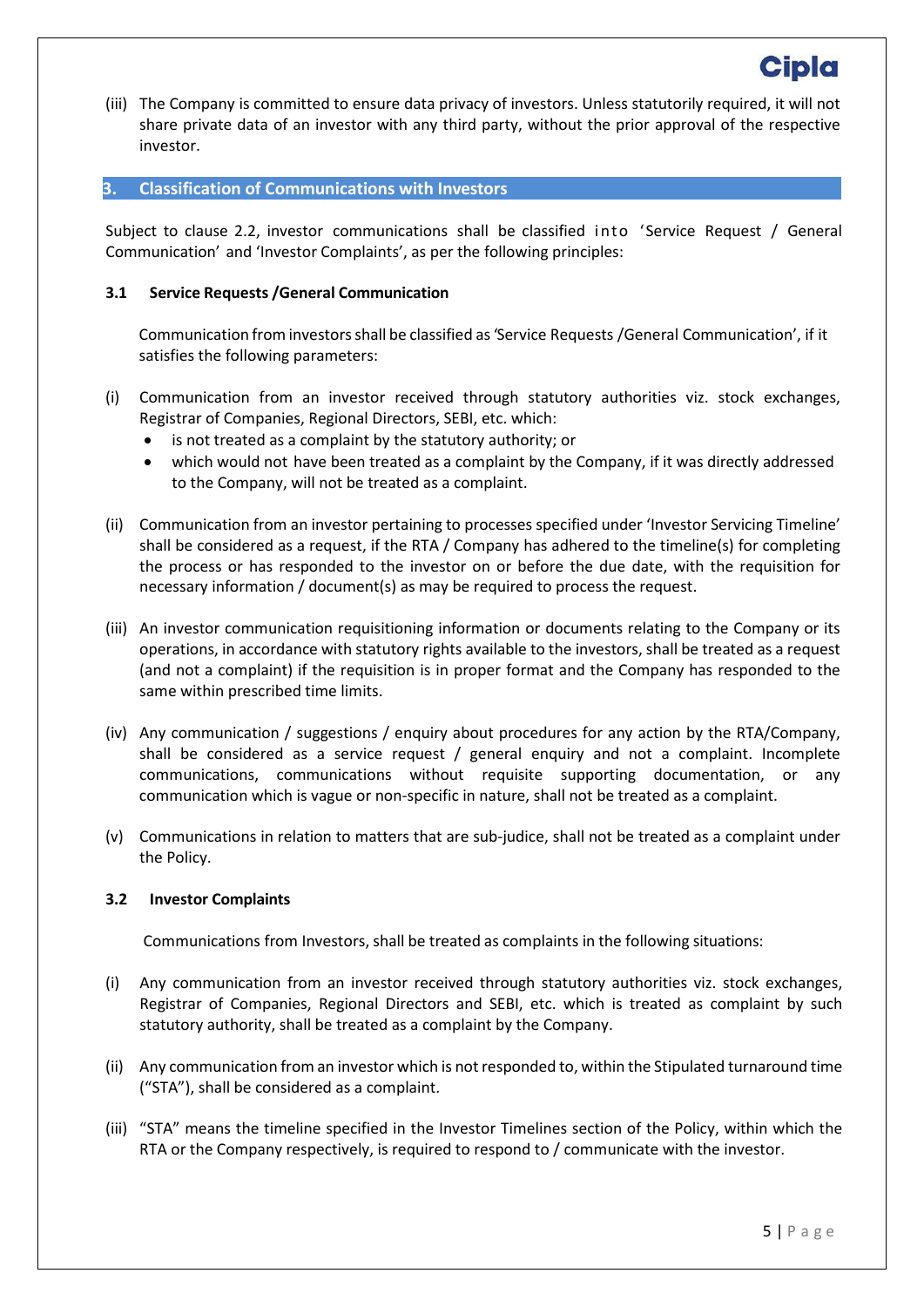(iii) The Company is committed to ensure data privacy of investors. Unless statutorily required, it will not share private data of an investor with any third party, without the prior approval of the respective investor.

#### <span id="page-4-0"></span>**3. Classification of Communications with Investors**

Subject to clause 2.2, investor communications shall be classified into 'Service Request / General Communication' and 'Investor Complaints', as per the following principles:

#### **3.1 Service Requests /General Communication**

Communication from investorsshall be classified as 'Service Requests /General Communication', if it satisfies the following parameters:

- (i) Communication from an investor received through statutory authorities viz. stock exchanges, Registrar of Companies, Regional Directors, SEBI, etc. which:
	- is not treated as a complaint by the statutory authority; or
	- which would not have been treated as a complaint by the Company, if it was directly addressed to the Company, will not be treated as a complaint.
- (ii) Communication from an investor pertaining to processes specified under 'Investor Servicing Timeline' shall be considered as a request, if the RTA / Company has adhered to the timeline(s) for completing the process or has responded to the investor on or before the due date, with the requisition for necessary information / document(s) as may be required to process the request.
- (iii) An investor communication requisitioning information or documents relating to the Company or its operations, in accordance with statutory rights available to the investors, shall be treated as a request (and not a complaint) if the requisition is in proper format and the Company has responded to the same within prescribed time limits.
- (iv) Any communication / suggestions / enquiry about procedures for any action by the RTA/Company, shall be considered as a service request / general enquiry and not a complaint. Incomplete communications, communications without requisite supporting documentation, or any communication which is vague or non-specific in nature, shall not be treated as a complaint.
- (v) Communications in relation to matters that are sub-judice, shall not be treated as a complaint under the Policy.

#### **3.2 Investor Complaints**

Communications from Investors, shall be treated as complaints in the following situations:

- (i) Any communication from an investor received through statutory authorities viz. stock exchanges, Registrar of Companies, Regional Directors and SEBI, etc. which is treated as complaint by such statutory authority, shall be treated as a complaint by the Company.
- (ii) Any communication from an investor which is not responded to, within the Stipulated turnaround time ("STA"), shall be considered as a complaint.
- (iii) "STA" means the timeline specified in the Investor Timelines section of the Policy, within which the RTA or the Company respectively, is required to respond to / communicate with the investor.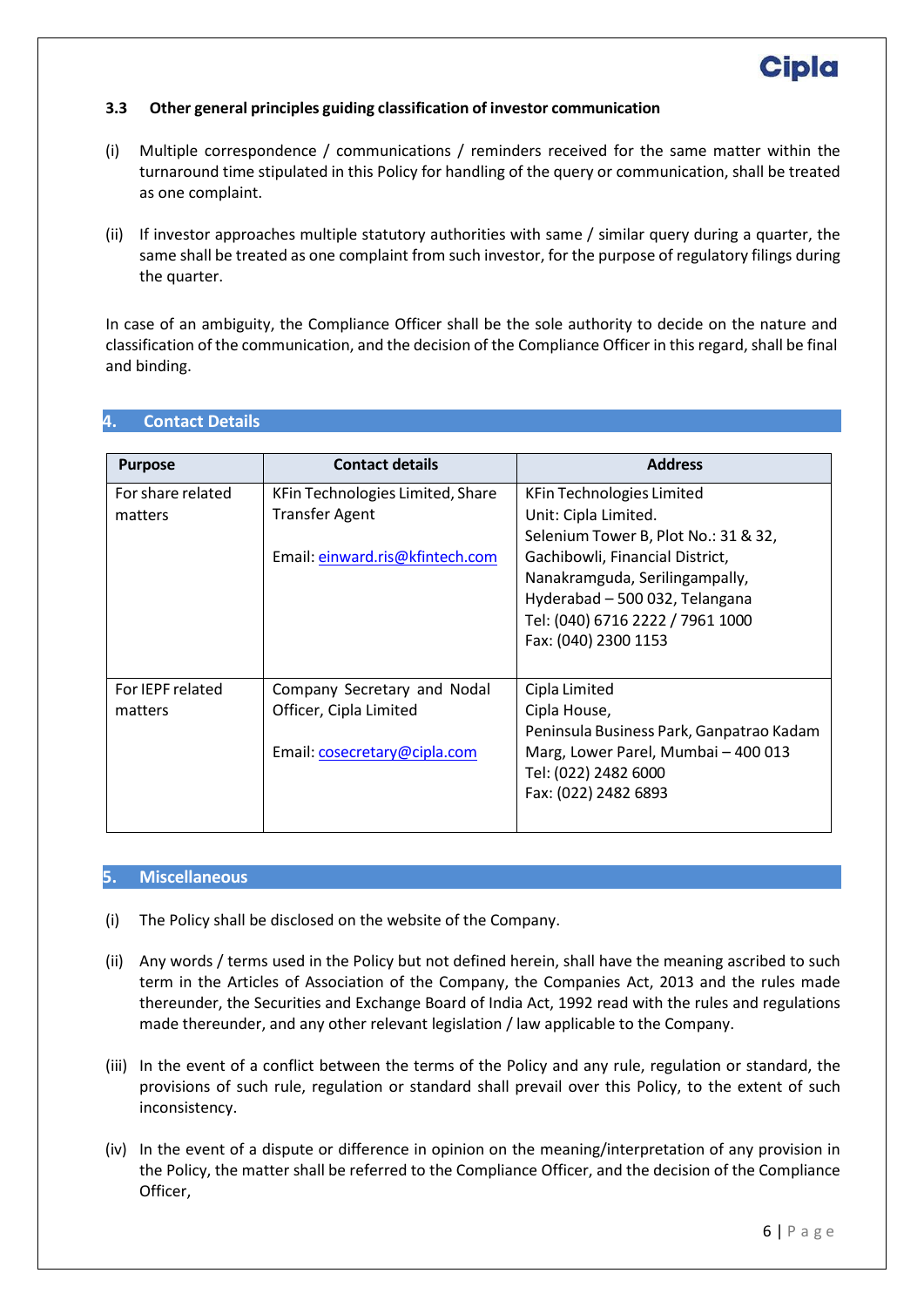#### **3.3 Other general principles guiding classification of investor communication**

- (i) Multiple correspondence / communications / reminders received for the same matter within the turnaround time stipulated in this Policy for handling of the query or communication, shall be treated as one complaint.
- (ii) If investor approaches multiple statutory authorities with same / similar query during a quarter, the same shall be treated as one complaint from such investor, for the purpose of regulatory filings during the quarter.

In case of an ambiguity, the Compliance Officer shall be the sole authority to decide on the nature and classification of the communication, and the decision of the Compliance Officer in this regard, shall be final and binding.

| <b>Purpose</b>    | <b>Contact details</b>           | <b>Address</b>                           |
|-------------------|----------------------------------|------------------------------------------|
| For share related | KFin Technologies Limited, Share | KFin Technologies Limited                |
| matters           | <b>Transfer Agent</b>            | Unit: Cipla Limited.                     |
|                   |                                  | Selenium Tower B, Plot No.: 31 & 32,     |
|                   | Email: einward.ris@kfintech.com  | Gachibowli, Financial District,          |
|                   |                                  | Nanakramguda, Serilingampally,           |
|                   |                                  | Hyderabad - 500 032, Telangana           |
|                   |                                  | Tel: (040) 6716 2222 / 7961 1000         |
|                   |                                  | Fax: (040) 2300 1153                     |
|                   |                                  |                                          |
| For IEPF related  | Company Secretary and Nodal      | Cipla Limited                            |
| matters           | Officer, Cipla Limited           | Cipla House,                             |
|                   |                                  | Peninsula Business Park, Ganpatrao Kadam |
|                   | Email: cosecretary@cipla.com     | Marg, Lower Parel, Mumbai - 400 013      |
|                   |                                  | Tel: (022) 2482 6000                     |
|                   |                                  | Fax: (022) 2482 6893                     |
|                   |                                  |                                          |

#### <span id="page-5-0"></span>**4. Contact Details**

#### <span id="page-5-1"></span>**5. Miscellaneous**

- (i) The Policy shall be disclosed on the website of the Company.
- (ii) Any words / terms used in the Policy but not defined herein, shall have the meaning ascribed to such term in the Articles of Association of the Company, the Companies Act, 2013 and the rules made thereunder, the Securities and Exchange Board of India Act, 1992 read with the rules and regulations made thereunder, and any other relevant legislation / law applicable to the Company.
- (iii) In the event of a conflict between the terms of the Policy and any rule, regulation or standard, the provisions of such rule, regulation or standard shall prevail over this Policy, to the extent of such inconsistency.
- (iv) In the event of a dispute or difference in opinion on the meaning/interpretation of any provision in the Policy, the matter shall be referred to the Compliance Officer, and the decision of the Compliance Officer,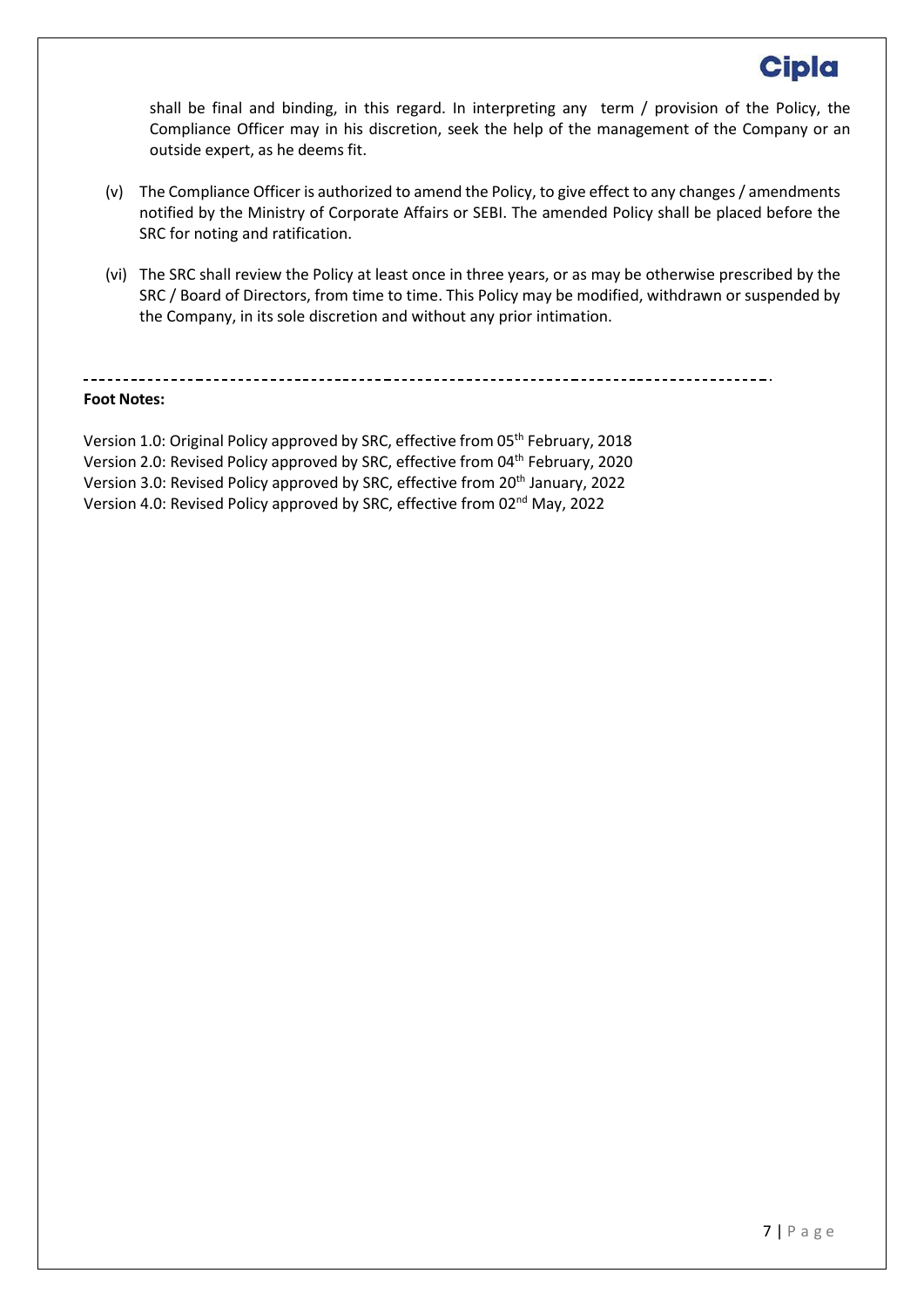shall be final and binding, in this regard. In interpreting any term / provision of the Policy, the Compliance Officer may in his discretion, seek the help of the management of the Company or an outside expert, as he deems fit.

- (v) The Compliance Officer is authorized to amend the Policy, to give effect to any changes / amendments notified by the Ministry of Corporate Affairs or SEBI. The amended Policy shall be placed before the SRC for noting and ratification.
- (vi) The SRC shall review the Policy at least once in three years, or as may be otherwise prescribed by the SRC / Board of Directors, from time to time. This Policy may be modified, withdrawn or suspended by the Company, in its sole discretion and without any prior intimation.

#### **Foot Notes:**

Version 1.0: Original Policy approved by SRC, effective from 05<sup>th</sup> February, 2018 Version 2.0: Revised Policy approved by SRC, effective from 04<sup>th</sup> February, 2020 Version 3.0: Revised Policy approved by SRC, effective from 20<sup>th</sup> January, 2022 Version 4.0: Revised Policy approved by SRC, effective from 02<sup>nd</sup> May, 2022